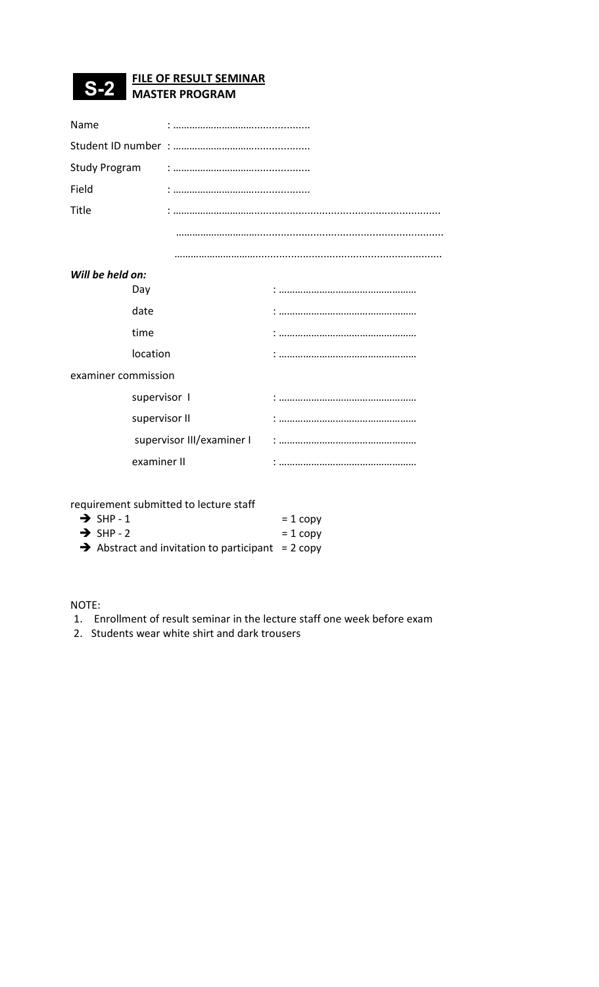## FILE OF RESULT SEMINAR S-2 MASTER PROGRAM

| Name                |                           |  |  |  |  |  |  |
|---------------------|---------------------------|--|--|--|--|--|--|
|                     |                           |  |  |  |  |  |  |
|                     |                           |  |  |  |  |  |  |
| Field               |                           |  |  |  |  |  |  |
| Title               |                           |  |  |  |  |  |  |
|                     |                           |  |  |  |  |  |  |
|                     |                           |  |  |  |  |  |  |
| Will be held on:    |                           |  |  |  |  |  |  |
| Day                 |                           |  |  |  |  |  |  |
| date                |                           |  |  |  |  |  |  |
| time                |                           |  |  |  |  |  |  |
|                     | location                  |  |  |  |  |  |  |
| examiner commission |                           |  |  |  |  |  |  |
| supervisor I        |                           |  |  |  |  |  |  |
| supervisor II       |                           |  |  |  |  |  |  |
|                     | supervisor III/examiner I |  |  |  |  |  |  |
|                     | examiner II               |  |  |  |  |  |  |
|                     |                           |  |  |  |  |  |  |

requirement submitted to lecture staff

| $\rightarrow$ SHP-1                                           | $= 1$ copy |
|---------------------------------------------------------------|------------|
| $\rightarrow$ SHP - 2                                         | $= 1$ copy |
| $\rightarrow$ Abstract and invitation to participant = 2 copy |            |

NOTE:

- 1. Enrollment of result seminar in the lecture staff one week before exam
- 2. Students wear white shirt and dark trousers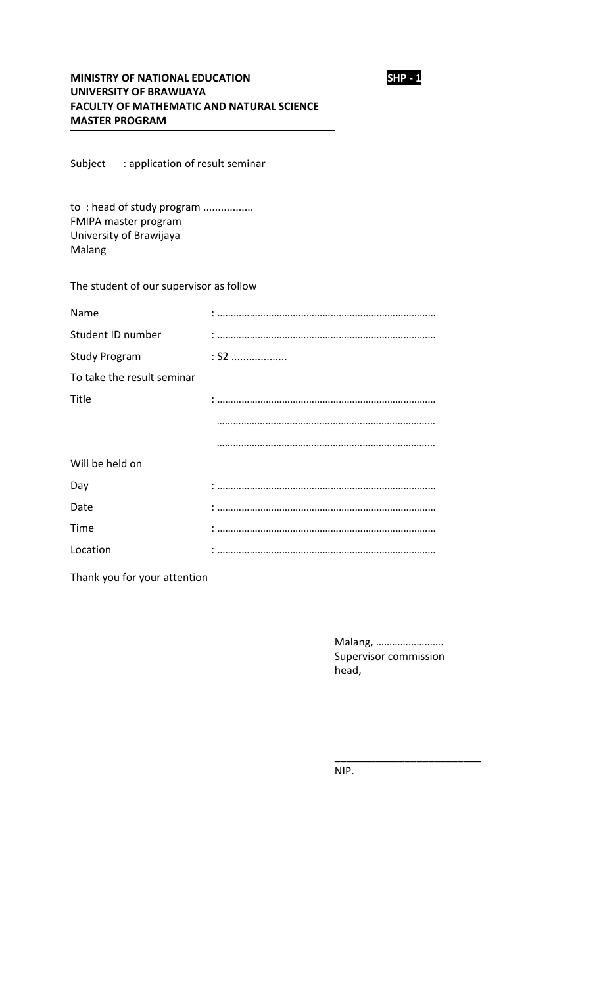

## MINISTRY OF NATIONAL EDUCATION SHP - 1 UNIVERSITY OF BRAWIJAYA FACULTY OF MATHEMATIC AND NATURAL SCIENCE MASTER PROGRAM

Subject : application of result seminar

to: head of study program ................. FMIPA master program University of Brawijaya Malang

## The student of our supervisor as follow

| Name                       |        |
|----------------------------|--------|
| Student ID number          |        |
| <b>Study Program</b>       | $:$ S2 |
| To take the result seminar |        |
| Title                      |        |
|                            |        |
|                            |        |
| Will be held on            |        |
| Day                        |        |
| Date                       |        |
| Time                       |        |
| Location                   |        |

Thank you for your attention

Malang, ……………………. Supervisor commission head,

\_\_\_\_\_\_\_\_\_\_\_\_\_\_\_\_\_\_\_\_\_\_\_\_\_

NIP.